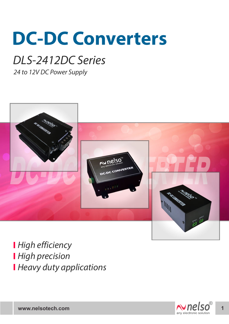# **DC-DC Converters**

## DLS-2412DC Series

24 to 12V DC Power Supply



**High efficiency High precision Heavy duty applications** 

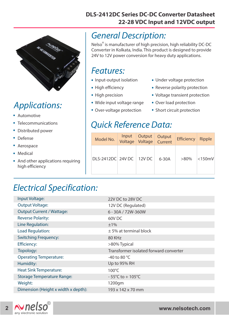#### **DLS-2412DC Series DC-DC Converter Datasheet 22-28 VDC Input and 12VDC output**



## Applications:

- . Automotive
- . Telecommunications
- . . Distributed power
- Defense
- . Aerospace
- Aerospa<br>• Medical
- . And other applications requiring high efficiency

#### General Description:

Nelso<sup>®</sup> is manufacturer of high precision, high reliability DC-DC Converter in Kolkata, India. This product is designed to provide 24V to 12V power conversion for heavy duty applications.

#### Features:

- I CULUICS.<br>• Input-output isolation
- Input-output is<br>• High efficiency
- High efficiency<br>• High precision
- High precision<br>• Wide input voltage range
- Wide input voltage rang<br>• Over-voltage protection
- Under voltage protection .
- Under voltage protection<br>• Reverse polarity protection
- Reverse polarity protection<br>• Voltage transient protection
- Voltage transient pro<br>• Over load protection
- Over load protection<br>• Short circuit protection

#### Quick Reference Data:

| Model No.                | Input<br>Voltage | Output<br>Voltage | Output<br>Current | <b>Efficiency</b> | Ripple       |
|--------------------------|------------------|-------------------|-------------------|-------------------|--------------|
| DLS-2412DC 24V DC 12V DC |                  |                   | $6-30A$           | $>80\%$           | $<$ 150 $mV$ |

### Electrical Specification:

| Input Voltage:                      | 22V DC to 28V DC                       |  |  |
|-------------------------------------|----------------------------------------|--|--|
| <b>Output Voltage:</b>              | 12V DC (Regulated)                     |  |  |
| <b>Output Current / Wattage:</b>    | 6 - 30A / 72W-360W                     |  |  |
| <b>Reverse Polarity:</b>            | 60V <sub>DC</sub>                      |  |  |
| Line Regulation:                    | ±1%                                    |  |  |
| Load Regulation:                    | $±$ 5% at terminal block               |  |  |
| <b>Switching Frequency:</b>         | 80 KHz                                 |  |  |
| <b>Efficiency:</b>                  | >80% Typical                           |  |  |
| Topology:                           | Transformer isolated forward converter |  |  |
| <b>Operating Temperature:</b>       | -40 to 80 $^{\circ}$ C                 |  |  |
| Humidity:                           | Up to 95% RH                           |  |  |
| <b>Heat Sink Temperature:</b>       | $100^{\circ}$ C                        |  |  |
| <b>Storage Temperature Range:</b>   | $-55^{\circ}$ C to + 105 $^{\circ}$ C  |  |  |
| Weight:                             | 1200gm                                 |  |  |
| Dimension (Height x width x depth): | 193 x 142 x 70 mm                      |  |  |